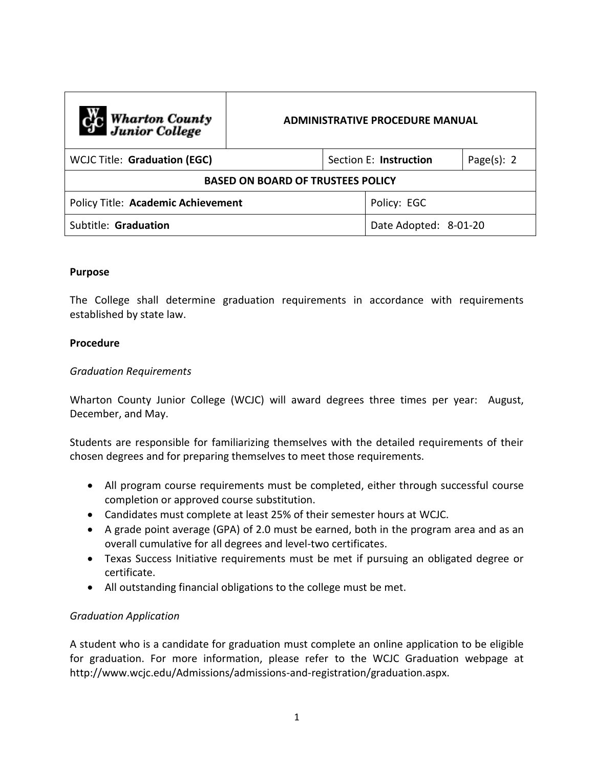| C <sub>1</sub> C Wharton County<br>Junior College | <b>ADMINISTRATIVE PROCEDURE MANUAL</b> |  |                        |                |
|---------------------------------------------------|----------------------------------------|--|------------------------|----------------|
| <b>WCJC Title: Graduation (EGC)</b>               |                                        |  | Section E: Instruction | Page $(s)$ : 2 |
| <b>BASED ON BOARD OF TRUSTEES POLICY</b>          |                                        |  |                        |                |
| Policy Title: Academic Achievement                |                                        |  | Policy: EGC            |                |
| Subtitle: Graduation                              |                                        |  | Date Adopted: 8-01-20  |                |

# **Purpose**

The College shall determine graduation requirements in accordance with requirements established by state law.

### **Procedure**

### *Graduation Requirements*

Wharton County Junior College (WCJC) will award degrees three times per year: August, December, and May.

Students are responsible for familiarizing themselves with the detailed requirements of their chosen degrees and for preparing themselves to meet those requirements.

- All program course requirements must be completed, either through successful course completion or approved course substitution.
- Candidates must complete at least 25% of their semester hours at WCJC.
- A grade point average (GPA) of 2.0 must be earned, both in the program area and as an overall cumulative for all degrees and level-two certificates.
- Texas Success Initiative requirements must be met if pursuing an obligated degree or certificate.
- All outstanding financial obligations to the college must be met.

# *Graduation Application*

A student who is a candidate for graduation must complete an online application to be eligible for graduation. For more information, please refer to the WCJC Graduation webpage at http://www.wcjc.edu/Admissions/admissions-and-registration/graduation.aspx.